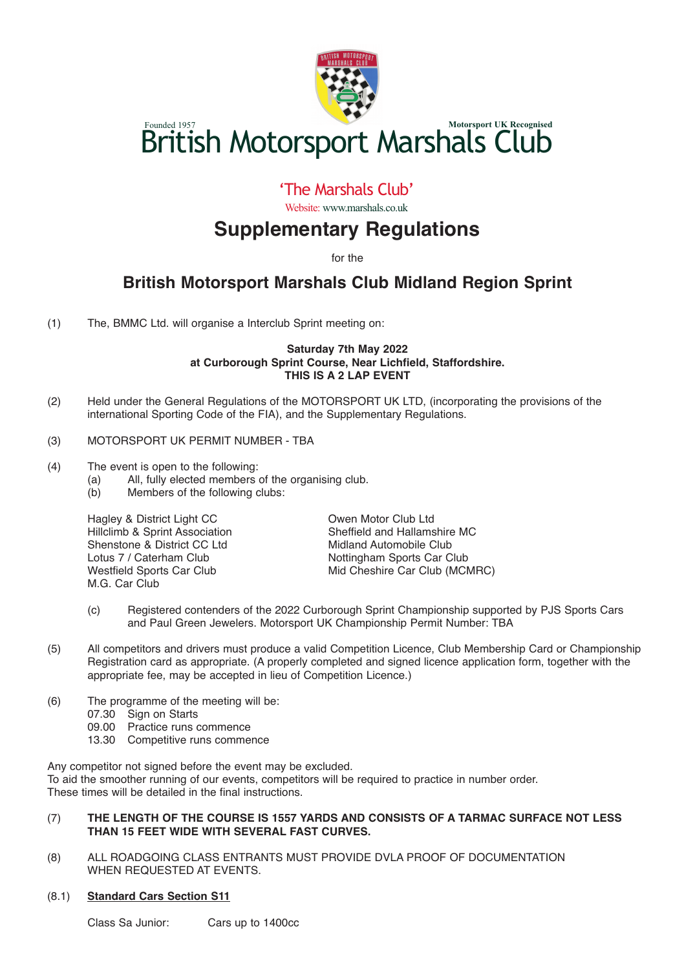

# Founded 1957<br>**British Motorsport Marshals Club**

### 'The Marshals Club'

Website: www.marshals.co.uk

# **Supplementary Regulations**

for the

## **British Motorsport Marshals Club Midland Region Sprint**

(1) The, BMMC Ltd. will organise a Interclub Sprint meeting on:

#### **Saturday 7th May 2022 at Curborough Sprint Course, Near Lichfield, Staffordshire. THIS IS A 2 LAP EVENT**

- (2) Held under the General Regulations of the MOTORSPORT UK LTD, (incorporating the provisions of the international Sporting Code of the FIA), and the Supplementary Regulations.
- (3) MOTORSPORT UK PERMIT NUMBER TBA
- (4) The event is open to the following:<br>(a) All, fully elected members
	- (a) All, fully elected members of the organising club.<br>(b) Members of the following clubs:
		- Members of the following clubs:

Hillclimb & Sprint Association<br>Shenstone & District CC Ltd Shenstone & District CC Ltd Midland Automobile Club<br>
Lotus 7 / Caterham Club<br>
Nottingham Sports Car C Lotus 7 / Caterham Club **Nottingham Sports Car Club**<br>
Westfield Sports Car Club<br>
Mid Cheshire Car Club (MCN M.G. Car Club

Hagley & District Light CC<br>
Hillclimb & Sprint Association<br>
Sheffield and Hallamshire MC Mid Cheshire Car Club (MCMRC)

- (c) Registered contenders of the 2022 Curborough Sprint Championship supported by PJS Sports Cars and Paul Green Jewelers. Motorsport UK Championship Permit Number: TBA
- (5) All competitors and drivers must produce a valid Competition Licence, Club Membership Card or Championship Registration card as appropriate. (A properly completed and signed licence application form, together with the appropriate fee, may be accepted in lieu of Competition Licence.)
- (6) The programme of the meeting will be:
	- 07.30 Sign on Starts
	- 09.00 Practice runs commence
	- 13.30 Competitive runs commence

Any competitor not signed before the event may be excluded. To aid the smoother running of our events, competitors will be required to practice in number order. These times will be detailed in the final instructions.

#### (7) **THE LENGTH OF THE COURSE IS 1557 YARDS AND CONSISTS OF A TARMAC SURFACE NOT LESS THAN 15 FEET WIDE WITH SEVERAL FAST CURVES.**

(8) ALL ROADGOING CLASS ENTRANTS MUST PROVIDE DVLA PROOF OF DOCUMENTATION WHEN REQUESTED AT EVENTS.

#### (8.1) **Standard Cars Section S11**

Class Sa Junior: Cars up to 1400cc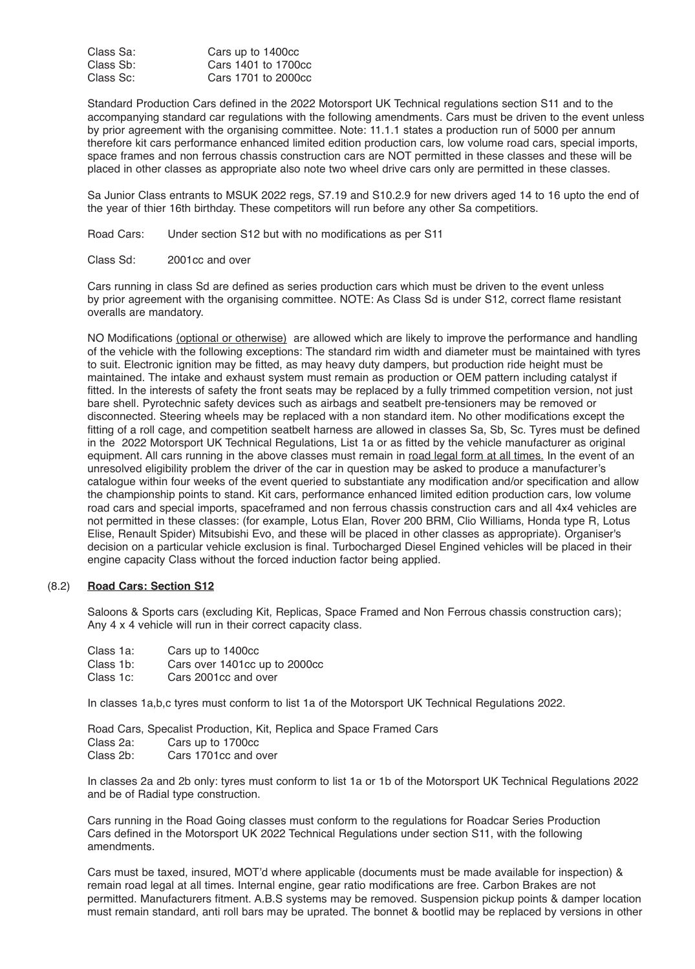| Class Sa: | Cars up to 1400cc   |
|-----------|---------------------|
| Class Sb: | Cars 1401 to 1700cc |
| Class Sc: | Cars 1701 to 2000cc |

Standard Production Cars defined in the 2022 Motorsport UK Technical regulations section S11 and to the accompanying standard car regulations with the following amendments. Cars must be driven to the event unless by prior agreement with the organising committee. Note: 11.1.1 states a production run of 5000 per annum therefore kit cars performance enhanced limited edition production cars, low volume road cars, special imports, space frames and non ferrous chassis construction cars are NOT permitted in these classes and these will be placed in other classes as appropriate also note two wheel drive cars only are permitted in these classes.

Sa Junior Class entrants to MSUK 2022 regs, S7.19 and S10.2.9 for new drivers aged 14 to 16 upto the end of the year of thier 16th birthday. These competitors will run before any other Sa competitiors.

Road Cars: Under section S12 but with no modifications as per S11

Class Sd: 2001cc and over

Cars running in class Sd are defined as series production cars which must be driven to the event unless by prior agreement with the organising committee. NOTE: As Class Sd is under S12, correct flame resistant overalls are mandatory.

NO Modifications (optional or otherwise) are allowed which are likely to improve the performance and handling of the vehicle with the following exceptions: The standard rim width and diameter must be maintained with tyres to suit. Electronic ignition may be fitted, as may heavy duty dampers, but production ride height must be maintained. The intake and exhaust system must remain as production or OEM pattern including catalyst if fitted. In the interests of safety the front seats may be replaced by a fully trimmed competition version, not just bare shell. Pyrotechnic safety devices such as airbags and seatbelt pre-tensioners may be removed or disconnected. Steering wheels may be replaced with a non standard item. No other modifications except the fitting of a roll cage, and competition seatbelt harness are allowed in classes Sa, Sb, Sc. Tyres must be defined in the 2022 Motorsport UK Technical Regulations, List 1a or as fitted by the vehicle manufacturer as original equipment. All cars running in the above classes must remain in road legal form at all times. In the event of an unresolved eligibility problem the driver of the car in question may be asked to produce a manufacturer's catalogue within four weeks of the event queried to substantiate any modification and/or specification and allow the championship points to stand. Kit cars, performance enhanced limited edition production cars, low volume road cars and special imports, spaceframed and non ferrous chassis construction cars and all 4x4 vehicles are not permitted in these classes: (for example, Lotus Elan, Rover 200 BRM, Clio Williams, Honda type R, Lotus Elise, Renault Spider) Mitsubishi Evo, and these will be placed in other classes as appropriate). Organiser's decision on a particular vehicle exclusion is final. Turbocharged Diesel Engined vehicles will be placed in their engine capacity Class without the forced induction factor being applied.

#### (8.2) **Road Cars: Section S12**

Saloons & Sports cars (excluding Kit, Replicas, Space Framed and Non Ferrous chassis construction cars); Any 4 x 4 vehicle will run in their correct capacity class.

- Class 1a: Cars up to 1400cc<br>Class 1b: Cars over 1401cc u
- Class 1b: Cars over 1401cc up to 2000cc<br>Class 1c: Cars 2001cc and over
- Cars 2001cc and over

In classes 1a,b,c tyres must conform to list 1a of the Motorsport UK Technical Regulations 2022.

Road Cars, Specalist Production, Kit, Replica and Space Framed Cars Class 2a: Cars up to 1700cc<br>Class 2b: Cars 1701cc and o Cars 1701cc and over

In classes 2a and 2b only: tyres must conform to list 1a or 1b of the Motorsport UK Technical Regulations 2022 and be of Radial type construction.

Cars running in the Road Going classes must conform to the regulations for Roadcar Series Production Cars defined in the Motorsport UK 2022 Technical Regulations under section S11, with the following amendments.

Cars must be taxed, insured, MOT'd where applicable (documents must be made available for inspection) & remain road legal at all times. Internal engine, gear ratio modifications are free. Carbon Brakes are not permitted. Manufacturers fitment. A.B.S systems may be removed. Suspension pickup points & damper location must remain standard, anti roll bars may be uprated. The bonnet & bootlid may be replaced by versions in other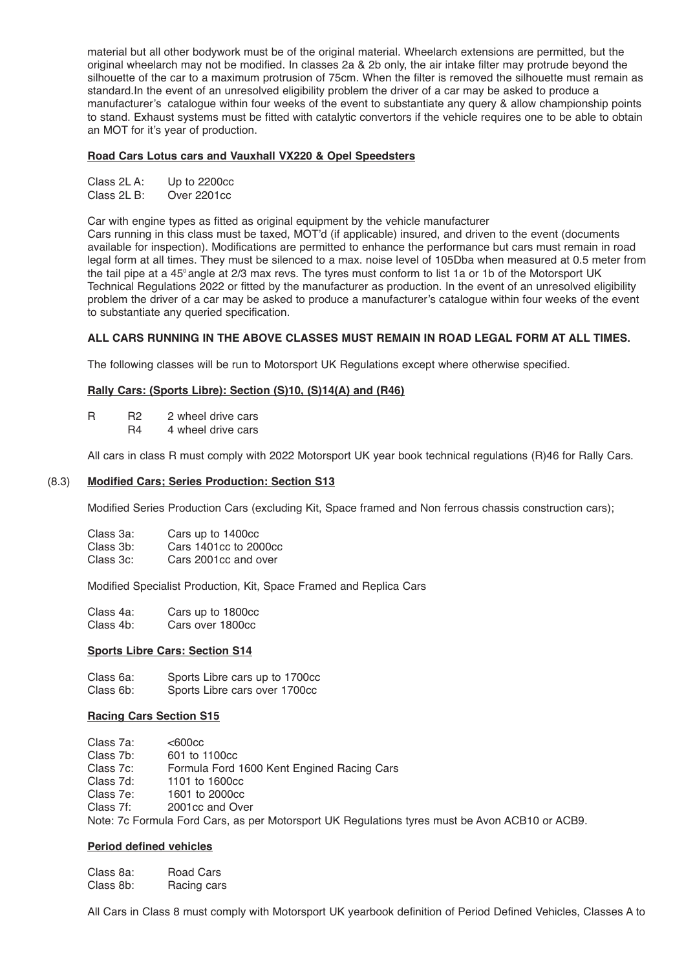material but all other bodywork must be of the original material. Wheelarch extensions are permitted, but the original wheelarch may not be modified. In classes 2a & 2b only, the air intake filter may protrude beyond the silhouette of the car to a maximum protrusion of 75cm. When the filter is removed the silhouette must remain as standard.In the event of an unresolved eligibility problem the driver of a car may be asked to produce a manufacturer's catalogue within four weeks of the event to substantiate any query & allow championship points to stand. Exhaust systems must be fitted with catalytic convertors if the vehicle requires one to be able to obtain an MOT for it's year of production.

#### **Road Cars Lotus cars and Vauxhall VX220 & Opel Speedsters**

| Class 2L A: | Up to 2200cc |
|-------------|--------------|
| Class 2L B: | Over 2201cc  |

Car with engine types as fitted as original equipment by the vehicle manufacturer

Cars running in this class must be taxed, MOT'd (if applicable) insured, and driven to the event (documents available for inspection). Modifications are permitted to enhance the performance but cars must remain in road legal form at all times. They must be silenced to a max. noise level of 105Dba when measured at 0.5 meter from the tail pipe at a 45° angle at 2/3 max revs. The tyres must conform to list 1a or 1b of the Motorsport UK Technical Regulations 2022 or fitted by the manufacturer as production. In the event of an unresolved eligibility problem the driver of a car may be asked to produce a manufacturer's catalogue within four weeks of the event to substantiate any queried specification.

#### **ALL CARS RUNNING IN THE ABOVE CLASSES MUST REMAIN IN ROAD LEGAL FORM AT ALL TIMES.**

The following classes will be run to Motorsport UK Regulations except where otherwise specified.

#### **Rally Cars: (Sports Libre): Section (S)10, (S)14(A) and (R46)**

- R R2 2 wheel drive cars<br>R4 4 wheel drive cars
	- 4 wheel drive cars

All cars in class R must comply with 2022 Motorsport UK year book technical regulations (R)46 for Rally Cars.

#### (8.3) **Modified Cars; Series Production: Section S13**

Modified Series Production Cars (excluding Kit, Space framed and Non ferrous chassis construction cars);

| Class 3a: | Cars up to 1400cc     |
|-----------|-----------------------|
| Class 3b: | Cars 1401cc to 2000cc |
| Class 3c: | Cars 2001cc and over  |

Modified Specialist Production, Kit, Space Framed and Replica Cars

| Class 4a: | Cars up to 1800cc |
|-----------|-------------------|
| Class 4b: | Cars over 1800cc  |

#### **Sports Libre Cars: Section S14**

Class 6a: Sports Libre cars up to 1700cc<br>Class 6b: Sports Libre cars over 1700cc Sports Libre cars over 1700cc

#### **Racing Cars Section S15**

- Class 7a: <600cc<br>Class 7b: 601 to 1
- Class 7b: 601 to 1100cc<br>Class 7c: Formula Ford
- Class 7c: Formula Ford 1600 Kent Engined Racing Cars<br>Class 7d: 1101 to 1600cc
- Class 7d: 1101 to 1600cc
- Class 7e: 1601 to 2000cc
- 2001cc and Over

Note: 7c Formula Ford Cars, as per Motorsport UK Regulations tyres must be Avon ACB10 or ACB9.

#### **Period defined vehicles**

| Class 8a: | Road Cars   |
|-----------|-------------|
| Class 8b: | Racing cars |

All Cars in Class 8 must comply with Motorsport UK yearbook definition of Period Defined Vehicles, Classes A to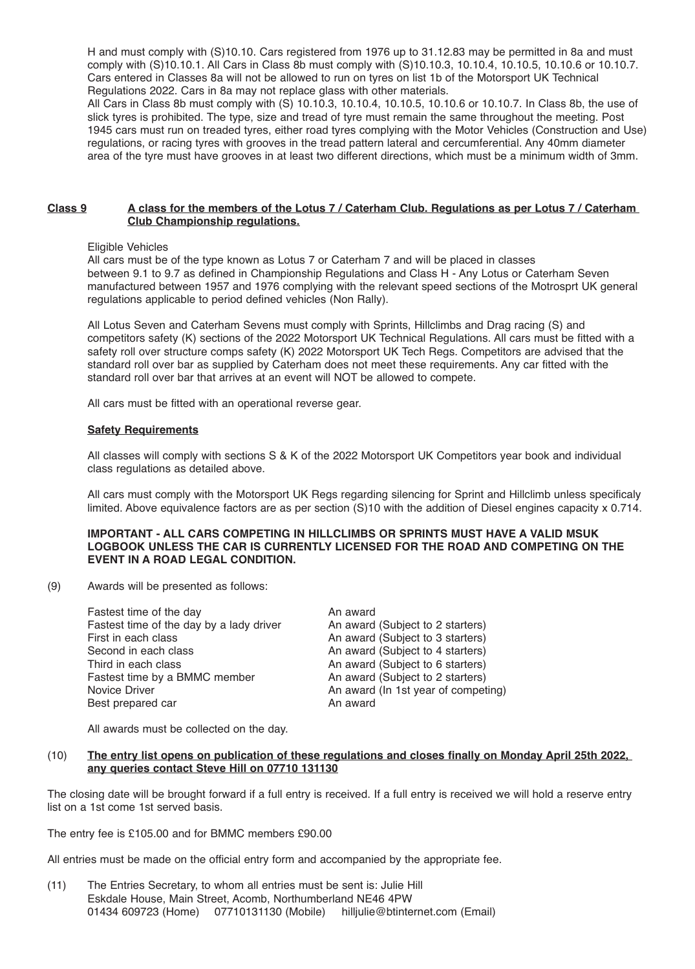H and must comply with (S)10.10. Cars registered from 1976 up to 31.12.83 may be permitted in 8a and must comply with (S)10.10.1. All Cars in Class 8b must comply with (S)10.10.3, 10.10.4, 10.10.5, 10.10.6 or 10.10.7. Cars entered in Classes 8a will not be allowed to run on tyres on list 1b of the Motorsport UK Technical Regulations 2022. Cars in 8a may not replace glass with other materials.

All Cars in Class 8b must comply with (S) 10.10.3, 10.10.4, 10.10.5, 10.10.6 or 10.10.7. In Class 8b, the use of slick tyres is prohibited. The type, size and tread of tyre must remain the same throughout the meeting. Post 1945 cars must run on treaded tyres, either road tyres complying with the Motor Vehicles (Construction and Use) regulations, or racing tyres with grooves in the tread pattern lateral and cercumferential. Any 40mm diameter area of the tyre must have grooves in at least two different directions, which must be a minimum width of 3mm.

#### Class 9 A class for the members of the Lotus 7 / Caterham Club. Regulations as per Lotus 7 / Caterham **Club Championship regulations.**

Eligible Vehicles

All cars must be of the type known as Lotus 7 or Caterham 7 and will be placed in classes between 9.1 to 9.7 as defined in Championship Regulations and Class H - Any Lotus or Caterham Seven manufactured between 1957 and 1976 complying with the relevant speed sections of the Motrosprt UK general regulations applicable to period defined vehicles (Non Rally).

All Lotus Seven and Caterham Sevens must comply with Sprints, Hillclimbs and Drag racing (S) and competitors safety (K) sections of the 2022 Motorsport UK Technical Regulations. All cars must be fitted with a safety roll over structure comps safety (K) 2022 Motorsport UK Tech Regs. Competitors are advised that the standard roll over bar as supplied by Caterham does not meet these requirements. Any car fitted with the standard roll over bar that arrives at an event will NOT be allowed to compete.

All cars must be fitted with an operational reverse gear.

#### **Safety Requirements**

All classes will comply with sections S & K of the 2022 Motorsport UK Competitors year book and individual class regulations as detailed above.

All cars must comply with the Motorsport UK Regs regarding silencing for Sprint and Hillclimb unless specificaly limited. Above equivalence factors are as per section (S)10 with the addition of Diesel engines capacity x 0.714.

#### **IMPORTANT - ALL CARS COMPETING IN HILLCLIMBS OR SPRINTS MUST HAVE A VALID MSUK LOGBOOK UNLESS THE CAR IS CURRENTLY LICENSED FOR THE ROAD AND COMPETING ON THE EVENT IN A ROAD LEGAL CONDITION.**

(9) Awards will be presented as follows:

| Fastest time of the day                  | An award                            |
|------------------------------------------|-------------------------------------|
| Fastest time of the day by a lady driver | An award (Subject to 2 starters)    |
| First in each class                      | An award (Subject to 3 starters)    |
| Second in each class                     | An award (Subject to 4 starters)    |
| Third in each class                      | An award (Subject to 6 starters)    |
| Fastest time by a BMMC member            | An award (Subject to 2 starters)    |
| Novice Driver                            | An award (In 1st year of competing) |
| Best prepared car                        | An award                            |

All awards must be collected on the day.

#### (10) The entry list opens on publication of these regulations and closes finally on Monday April 25th 2022, **any queries contact Steve Hill on 07710 131130**

The closing date will be brought forward if a full entry is received. If a full entry is received we will hold a reserve entry list on a 1st come 1st served basis.

The entry fee is £105.00 and for BMMC members £90.00

All entries must be made on the official entry form and accompanied by the appropriate fee.

(11) The Entries Secretary, to whom all entries must be sent is: Julie Hill Eskdale House, Main Street, Acomb, Northumberland NE46 4PW<br>01434 609723 (Home) 07710131130 (Mobile) hilljulie@btinternet.com (Email) 01434 609723 (Home) 07710131130 (Mobile)